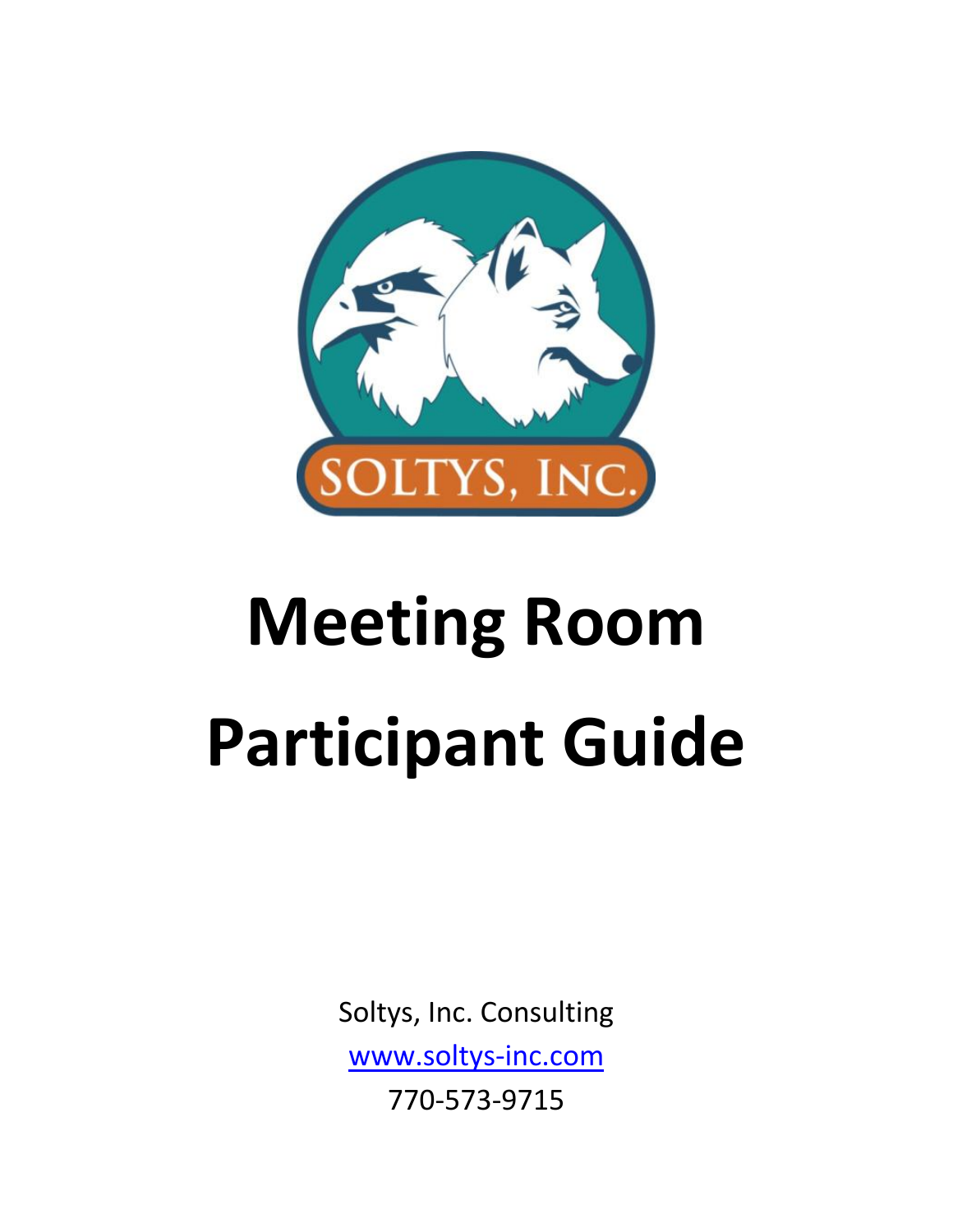

# **Meeting Room Participant Guide**

Soltys, Inc. Consulting [www.soltys-inc.com](http://www.soltys-inc.com/) 770-573-9715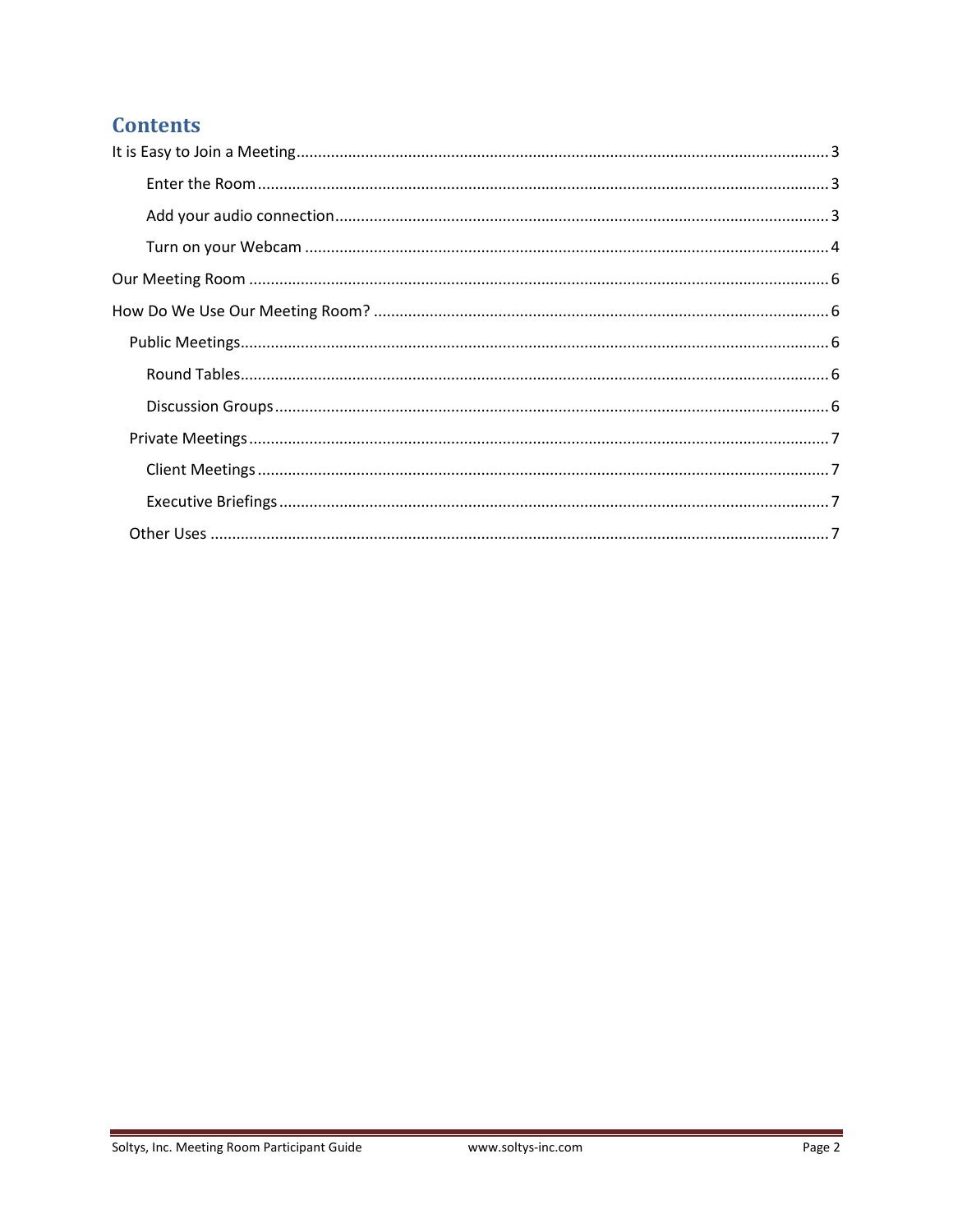# **Contents**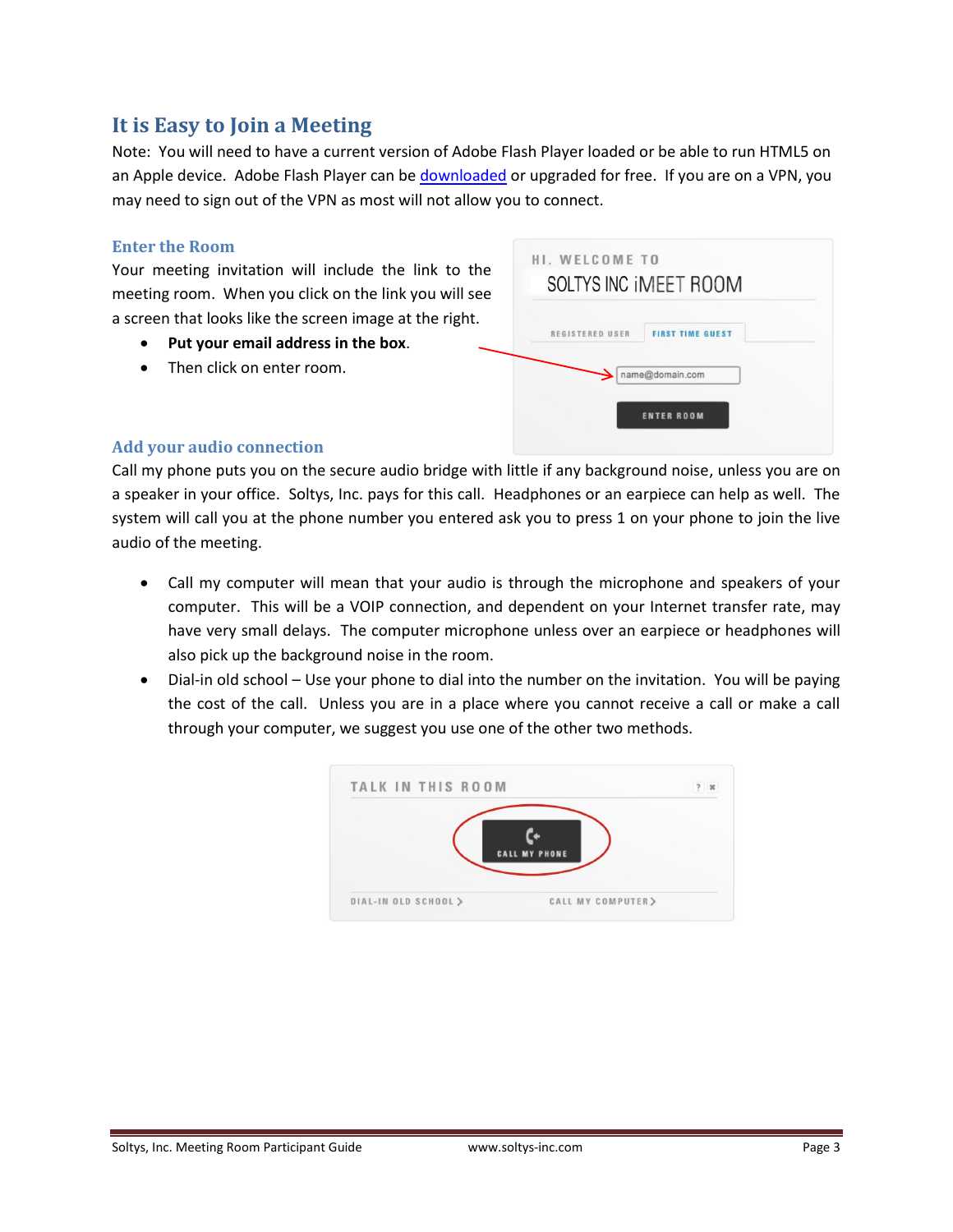# <span id="page-2-0"></span>**It is Easy to Join a Meeting**

Note: You will need to have a current version of Adobe Flash Player loaded or be able to run HTML5 on an Apple device. Adobe Flash Player can be [downloaded](http://www.adobe.com/support/flashplayer/downloads.html) or upgraded for free. If you are on a VPN, you may need to sign out of the VPN as most will not allow you to connect.

#### <span id="page-2-1"></span>**Enter the Room**

Your meeting invitation will include the link to the meeting room. When you click on the link you will see a screen that looks like the screen image at the right.

- **Put your email address in the box**.
- Then click on enter room.

| REGISTERED USER | <b>FIRST TIME GUEST</b> |
|-----------------|-------------------------|
|                 |                         |
|                 | name@domain.com         |

# <span id="page-2-2"></span>**Add your audio connection**

Call my phone puts you on the secure audio bridge with little if any background noise, unless you are on a speaker in your office. Soltys, Inc. pays for this call. Headphones or an earpiece can help as well. The system will call you at the phone number you entered ask you to press 1 on your phone to join the live audio of the meeting.

- Call my computer will mean that your audio is through the microphone and speakers of your computer. This will be a VOIP connection, and dependent on your Internet transfer rate, may have very small delays. The computer microphone unless over an earpiece or headphones will also pick up the background noise in the room.
- Dial-in old school Use your phone to dial into the number on the invitation. You will be paying the cost of the call. Unless you are in a place where you cannot receive a call or make a call through your computer, we suggest you use one of the other two methods.

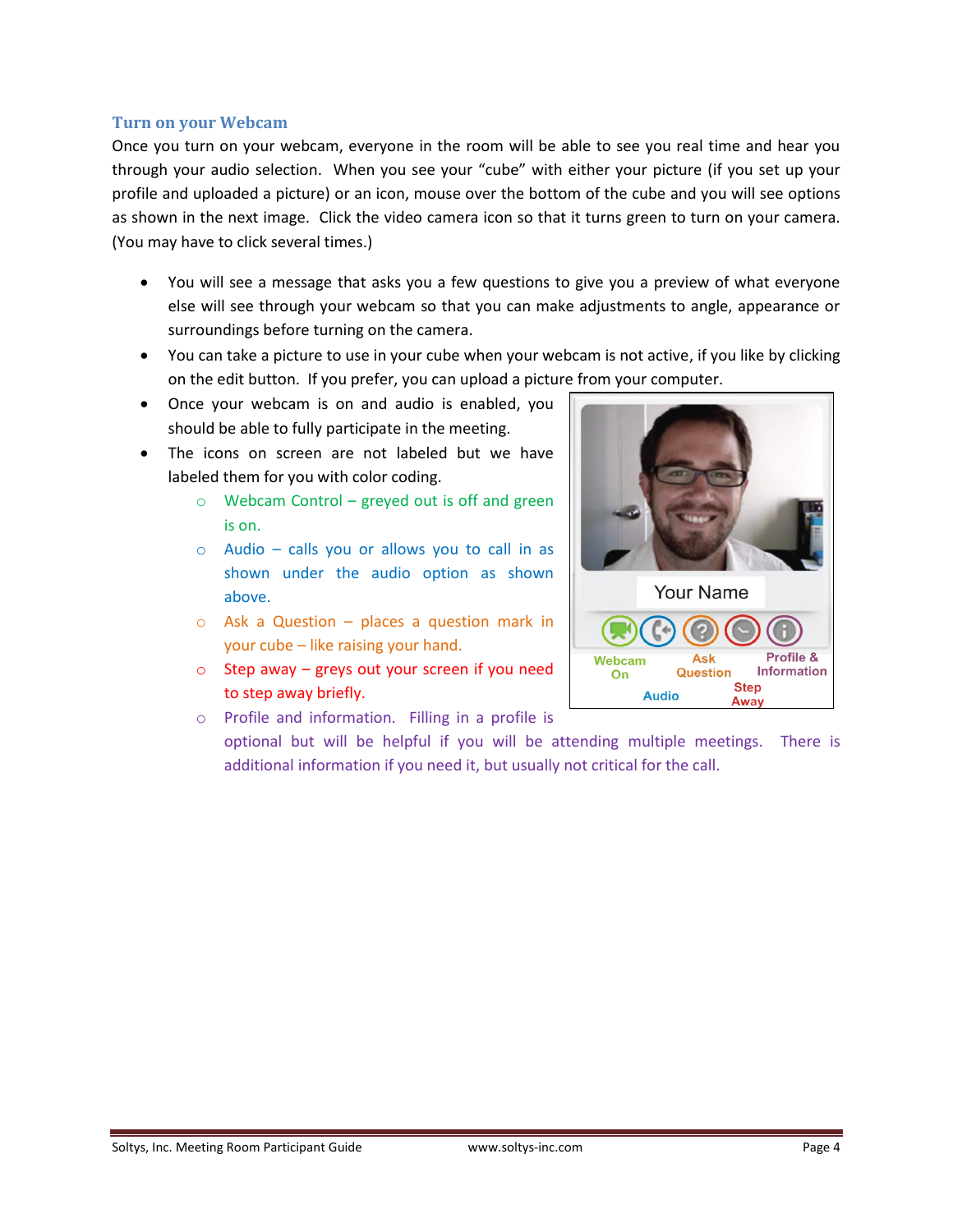#### <span id="page-3-0"></span>**Turn on your Webcam**

Once you turn on your webcam, everyone in the room will be able to see you real time and hear you through your audio selection. When you see your "cube" with either your picture (if you set up your profile and uploaded a picture) or an icon, mouse over the bottom of the cube and you will see options as shown in the next image. Click the video camera icon so that it turns green to turn on your camera. (You may have to click several times.)

- You will see a message that asks you a few questions to give you a preview of what everyone else will see through your webcam so that you can make adjustments to angle, appearance or surroundings before turning on the camera.
- You can take a picture to use in your cube when your webcam is not active, if you like by clicking on the edit button. If you prefer, you can upload a picture from your computer.
- Once your webcam is on and audio is enabled, you should be able to fully participate in the meeting.
- The icons on screen are not labeled but we have labeled them for you with color coding.
	- o Webcam Control greyed out is off and green is on.
	- $\circ$  Audio calls you or allows you to call in as shown under the audio option as shown above.
	- o Ask a Question places a question mark in your cube – like raising your hand.
	- $\circ$  Step away greys out your screen if you need to step away briefly.
	- o Profile and information. Filling in a profile is optional but will be helpful if you will be attending multiple meetings. There is additional information if you need it, but usually not critical for the call.

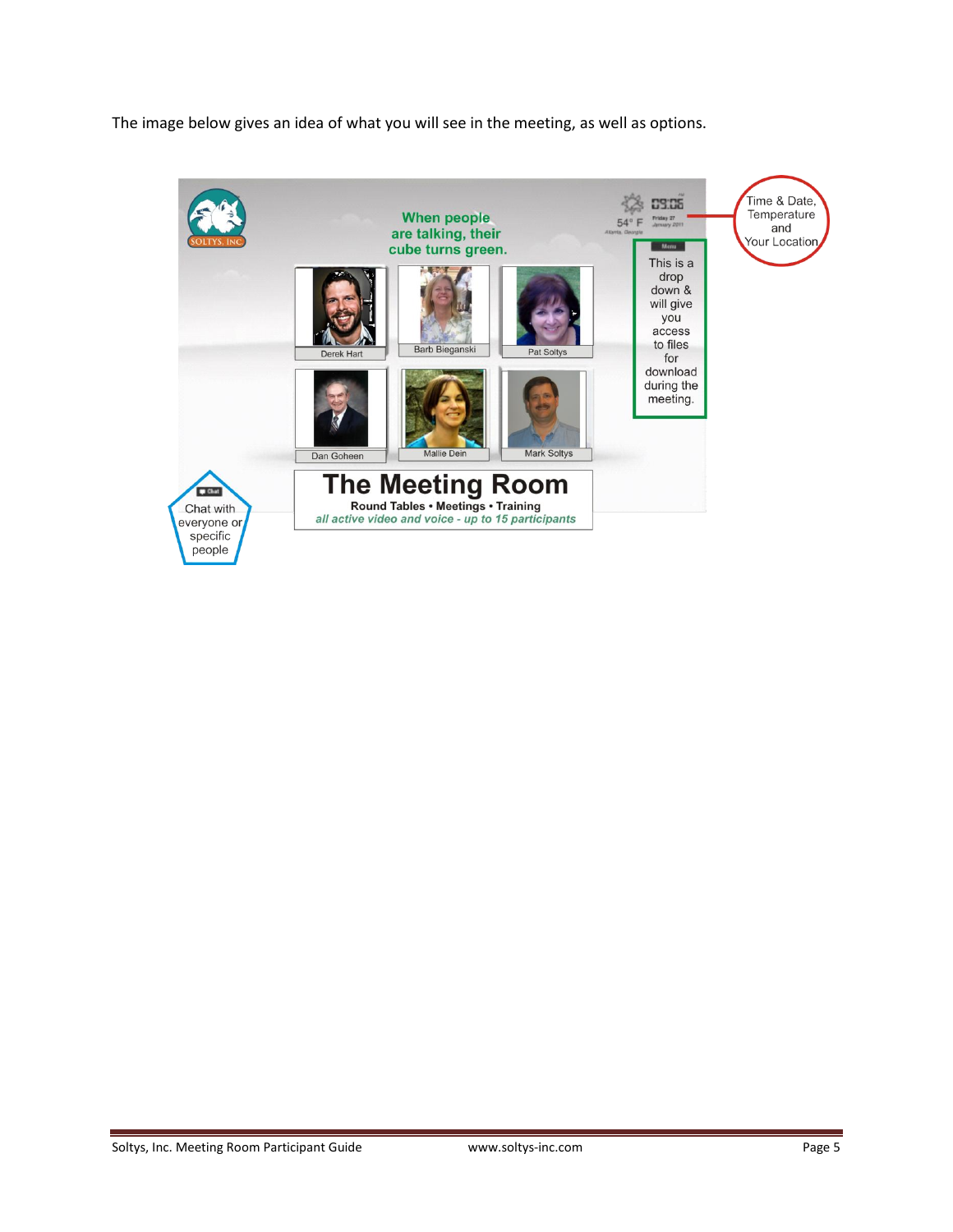The image below gives an idea of what you will see in the meeting, as well as options.

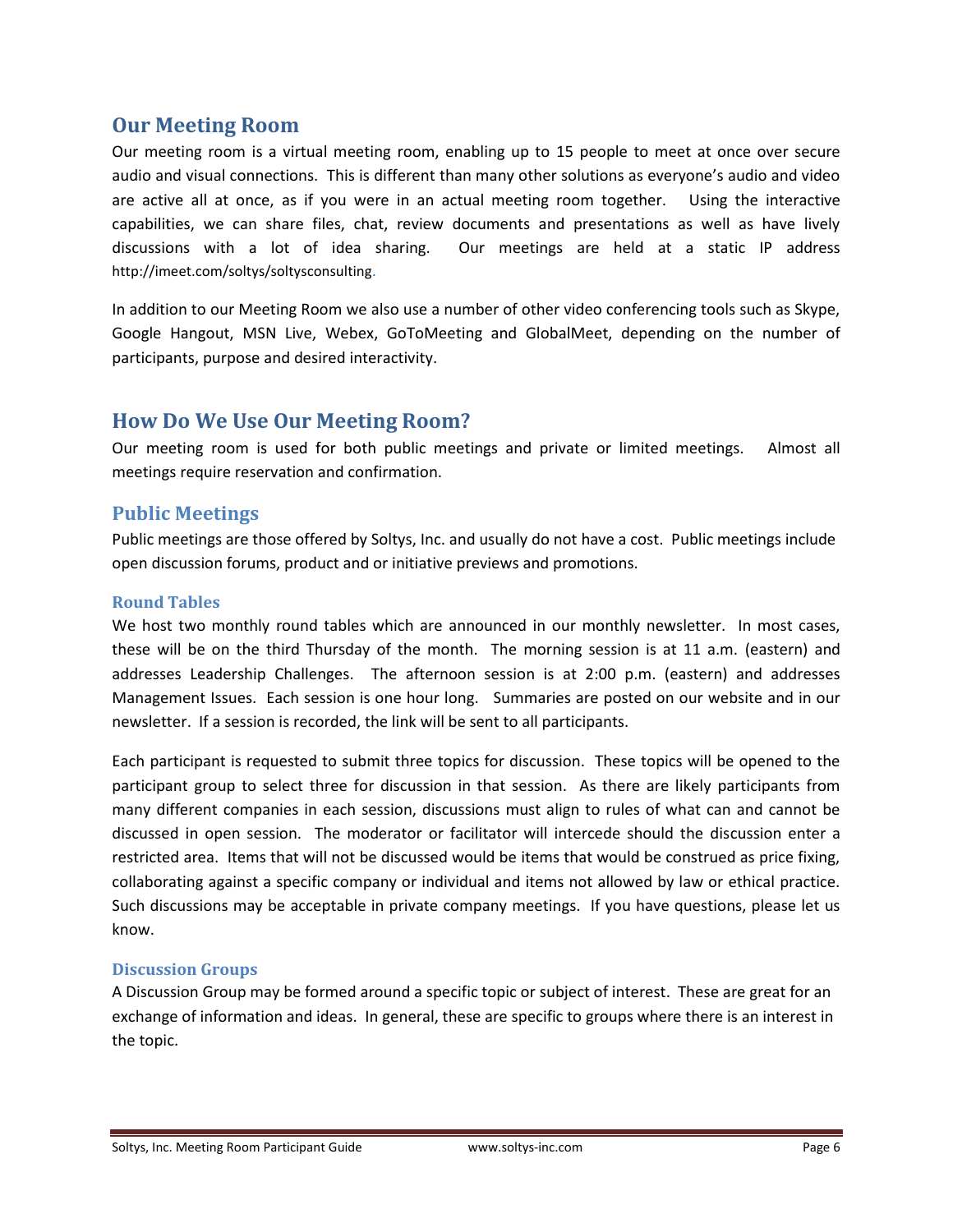# <span id="page-5-0"></span>**Our Meeting Room**

Our meeting room is a virtual meeting room, enabling up to 15 people to meet at once over secure audio and visual connections. This is different than many other solutions as everyone's audio and video are active all at once, as if you were in an actual meeting room together. Using the interactive capabilities, we can share files, chat, review documents and presentations as well as have lively discussions with a lot of idea sharing. Our meetings are held at a static IP address http://imeet.com/soltys/soltysconsulting.

In addition to our Meeting Room we also use a number of other video conferencing tools such as Skype, Google Hangout, MSN Live, Webex, GoToMeeting and GlobalMeet, depending on the number of participants, purpose and desired interactivity.

# <span id="page-5-1"></span>**How Do We Use Our Meeting Room?**

Our meeting room is used for both public meetings and private or limited meetings. Almost all meetings require reservation and confirmation.

# <span id="page-5-2"></span>**Public Meetings**

Public meetings are those offered by Soltys, Inc. and usually do not have a cost. Public meetings include open discussion forums, product and or initiative previews and promotions.

# <span id="page-5-3"></span>**Round Tables**

We host two monthly round tables which are announced in our monthly newsletter. In most cases, these will be on the third Thursday of the month. The morning session is at 11 a.m. (eastern) and addresses Leadership Challenges. The afternoon session is at 2:00 p.m. (eastern) and addresses Management Issues. Each session is one hour long. Summaries are posted on our website and in our newsletter. If a session is recorded, the link will be sent to all participants.

Each participant is requested to submit three topics for discussion. These topics will be opened to the participant group to select three for discussion in that session. As there are likely participants from many different companies in each session, discussions must align to rules of what can and cannot be discussed in open session. The moderator or facilitator will intercede should the discussion enter a restricted area. Items that will not be discussed would be items that would be construed as price fixing, collaborating against a specific company or individual and items not allowed by law or ethical practice. Such discussions may be acceptable in private company meetings. If you have questions, please let us know.

# <span id="page-5-4"></span>**Discussion Groups**

A Discussion Group may be formed around a specific topic or subject of interest. These are great for an exchange of information and ideas. In general, these are specific to groups where there is an interest in the topic.